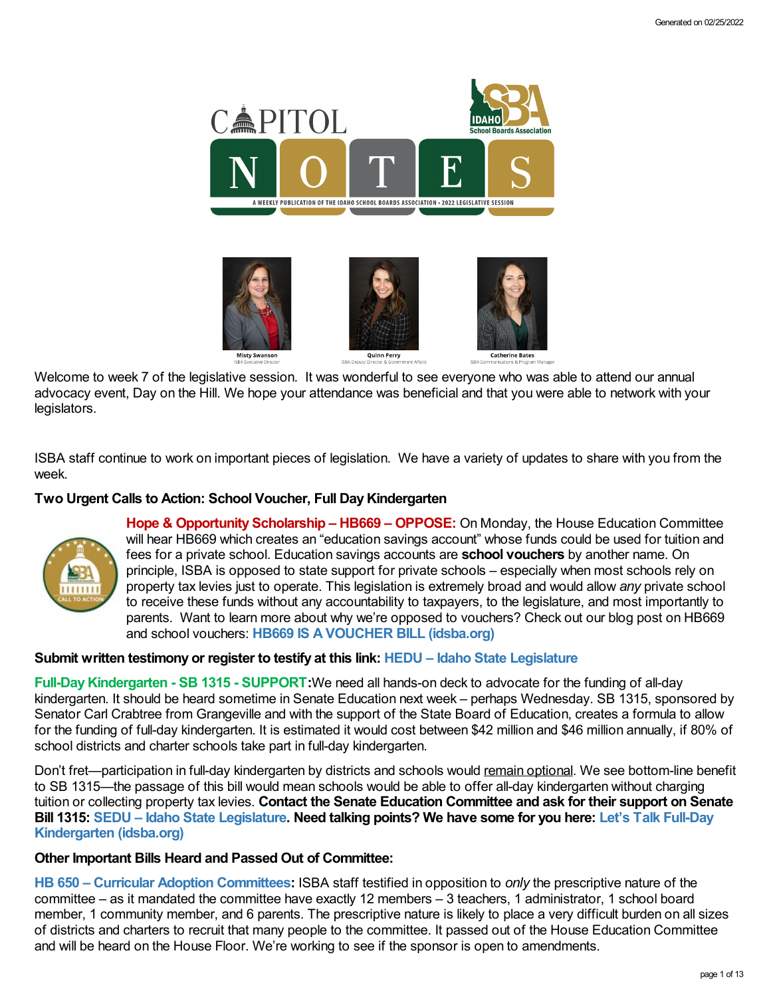

Welcome to week 7 of the legislative session. It was wonderful to see everyone who was able to attend our annual advocacy event, Day on the Hill. We hope your attendance was beneficial and that you were able to network with your legislators.

ISBA staff continue to work on important pieces of legislation. We have a variety of updates to share with you from the week.

## **Two Urgent Calls to Action: School Voucher, Full DayKindergarten**



**Hope & Opportunity Scholarship – HB669 – OPPOSE:** On Monday, the House Education Committee will hear HB669 which creates an "education savings account" whose funds could be used for tuition and fees for a private school. Education savings accounts are **school vouchers** by another name. On principle, ISBA is opposed to state support for private schools – especially when most schools rely on property tax levies just to operate. This legislation is extremely broad and would allow *any* private school to receive these funds without any accountability to taxpayers, to the legislature, and most importantly to parents. Want to learn more about why we're opposed to vouchers? Check out our blog post on HB669 and school vouchers: **HB669 IS A [VOUCHER](https://www.idsba.org/blog/hb669-is-a-voucher-bill/) BILL (idsba.org)**

## **Submit written testimony or register to testify at this link: HEDU – Idaho State [Legislature](https://legislature.idaho.gov/sessioninfo/2022/standingcommittees/hedu/#hcode-tab-style2testimony-registration-remote-in-person)**

**Full-DayKindergarten - SB 1315 - SUPPORT:**We need all hands-on deck to advocate for the funding of all-day kindergarten. It should be heard sometime in Senate Education next week – perhaps Wednesday. SB 1315, sponsored by Senator Carl Crabtree from Grangeville and with the support of the State Board of Education, creates a formula to allow for the funding of full-day kindergarten. It is estimated it would cost between \$42 million and \$46 million annually, if 80% of school districts and charter schools take part in full-day kindergarten.

Don't fret—participation in full-day kindergarten by districts and schools would remain optional. We see bottom-line benefit to SB 1315—the passage of this bill would mean schools would be able to offer all-day kindergarten without charging tuition or collecting property tax levies. **Contact the Senate Education Committee and ask for their support on Senate** Bill 1315: SEDU - Idaho State [Legislature.](https://legislature.idaho.gov/sessioninfo/2022/standingcommittees/SEDU/) Need talking points? We have some for you here: Let's Talk Full-Day **[Kindergarten](https://www.idsba.org/blog/lets-talk-full-day-kindergarten/) (idsba.org)**

## **Other Important Bills Heard and Passed Out of Committee:**

**HB 650 – Curricular Adoption [Committees:](https://legislature.idaho.gov/sessioninfo/2022/legislation/H0650/)** ISBA staff testified in opposition to *only* the prescriptive nature of the committee – as it mandated the committee have exactly 12 members – 3 teachers, 1 administrator, 1 school board member, 1 community member, and 6 parents. The prescriptive nature is likely to place a very difficult burden on all sizes of districts and charters to recruit that many people to the committee. It passed out of the House Education Committee and will be heard on the House Floor. We're working to see if the sponsor is open to amendments.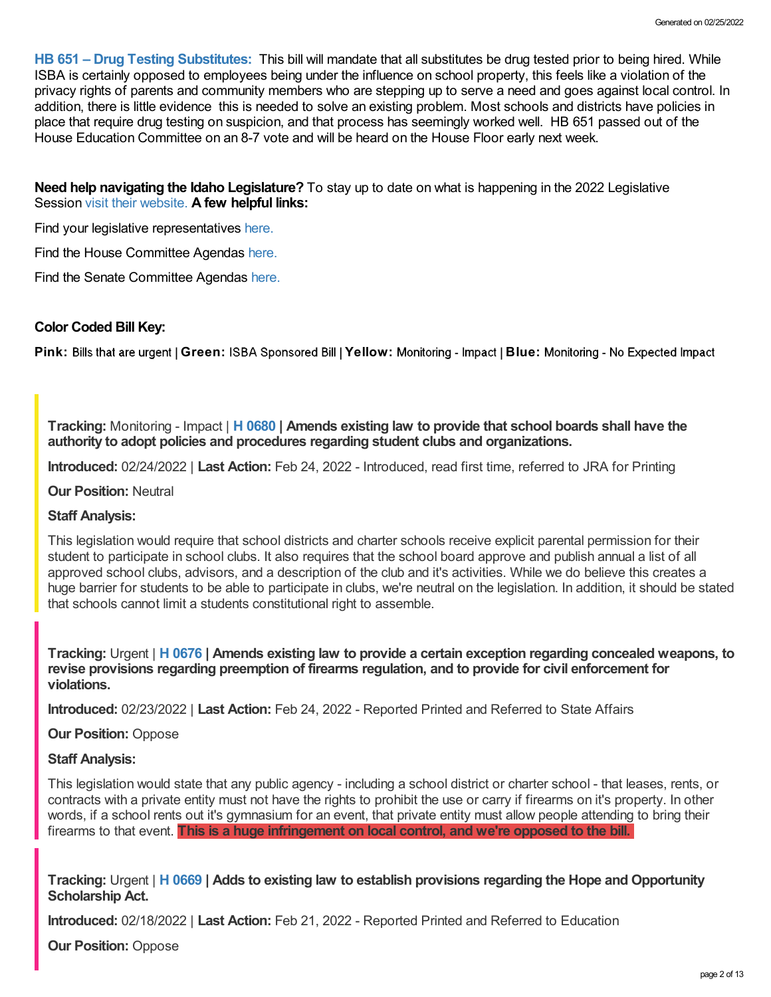**HB 651 – Drug Testing [Substitutes:](https://legislature.idaho.gov/sessioninfo/2022/legislation/H0651/)** This bill will mandate that all substitutes be drug tested prior to being hired. While ISBA is certainly opposed to employees being under the influence on school property, this feels like a violation of the privacy rights of parents and community members who are stepping up to serve a need and goes against local control. In addition, there is little evidence this is needed to solve an existing problem. Most schools and districts have policies in place that require drug testing on suspicion, and that process has seemingly worked well. HB 651 passed out of the House Education Committee on an 8-7 vote and will be heard on the House Floor early next week.

**Need help navigating the Idaho Legislature?** To stay up to date on what is happening in the 2022 Legislative Session visit their [website.](https://legislature.idaho.gov/legislators/whosmylegislator/) **A few helpful links:**

Find your legislative representatives [here.](https://legislature.idaho.gov/legislators/whosmylegislator/)

Find the House Committee Agendas [here.](https://legislature.idaho.gov/sessioninfo/agenda/hagenda/)

Find the Senate Committee Agendas [here.](https://legislature.idaho.gov/sessioninfo/agenda/sagenda/)

## **Color Coded Bill Key:**

Pink: Bills that are urgent | Green: ISBA Sponsored Bill | Yellow: Monitoring - Impact | Blue: Monitoring - No Expected Impact

**Tracking:** Monitoring - Impact | **H [0680](https://legislature.idaho.gov/sessioninfo/2022/legislation/H0680/) | Amends existing law to provide that school boards shall have the authority to adopt policies and procedures regarding student clubs and organizations.**

**Introduced:** 02/24/2022 | **Last Action:** Feb 24, 2022 - Introduced, read first time, referred to JRA for Printing

**Our Position:** Neutral

## **Staff Analysis:**

This legislation would require that school districts and charter schools receive explicit parental permission for their student to participate in school clubs. It also requires that the school board approve and publish annual a list of all approved school clubs, advisors, and a description of the club and it's activities. While we do believe this creates a huge barrier for students to be able to participate in clubs, we're neutral on the legislation. In addition, it should be stated that schools cannot limit a students constitutional right to assemble.

**Tracking:** Urgent | **H [0676](https://legislature.idaho.gov/sessioninfo/2022/legislation/H0676/) | Amends existing law to provide a certain exception regarding concealed weapons, to revise provisions regarding preemption of firearms regulation, and to provide for civil enforcement for violations.**

**Introduced:** 02/23/2022 | **Last Action:** Feb 24, 2022 - Reported Printed and Referred to State Affairs

## **Our Position:** Oppose

## **Staff Analysis:**

This legislation would state that any public agency - including a school district or charter school - that leases, rents, or contracts with a private entity must not have the rights to prohibit the use or carry if firearms on it's property. In other words, if a school rents out it's gymnasium for an event, that private entity must allow people attending to bring their firearms to that event. **This is a huge infringement on local control, and we're opposed to the bill.**

**Tracking:** Urgent | **H [0669](https://legislature.idaho.gov/sessioninfo/2022/legislation/H0669/) | Adds to existing law to establish provisions regarding the Hope and Opportunity Scholarship Act.**

**Introduced:** 02/18/2022 | **Last Action:** Feb 21, 2022 - Reported Printed and Referred to Education

**Our Position:** Oppose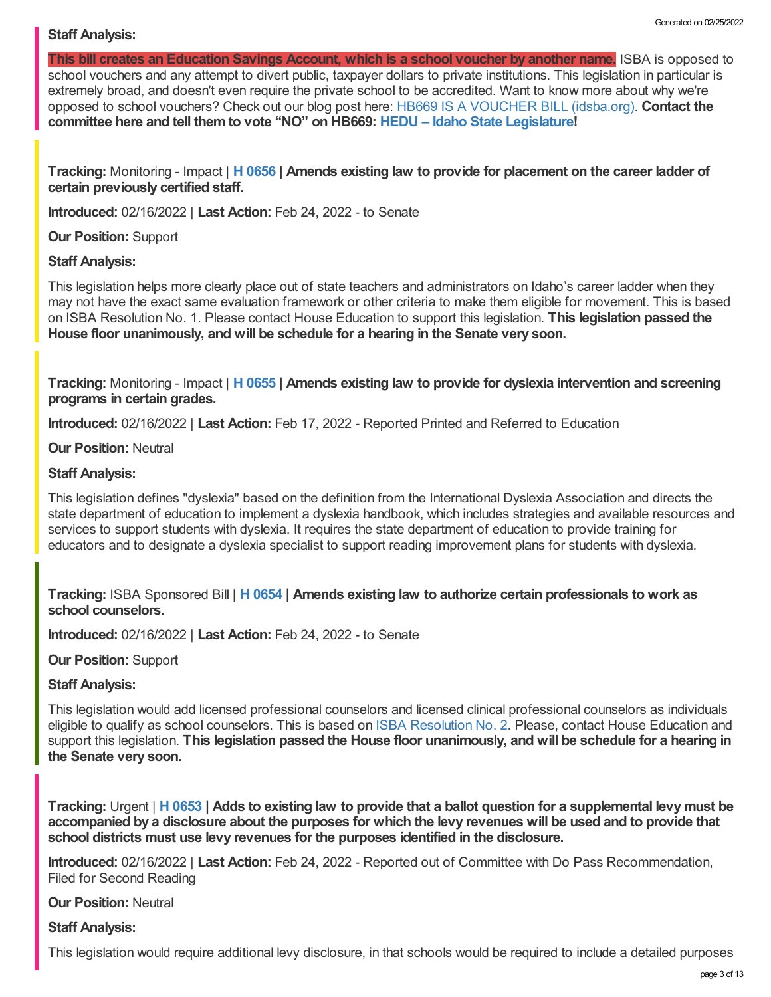## **Staff Analysis:**

**This bill creates an Education Savings Account, which is a school voucher by another name.** ISBA is opposed to school vouchers and any attempt to divert public, taxpayer dollars to private institutions. This legislation in particular is extremely broad, and doesn't even require the private school to be accredited. Want to know more about why we're opposed to school vouchers? Check out our blog post here: HB669 IS A [VOUCHER](https://www.idsba.org/blog/hb669-is-a-voucher-bill/) BILL (idsba.org). **Contact the committee here and tell them to vote "NO" on HB669: HEDU – Idaho State [Legislature!](https://legislature.idaho.gov/sessioninfo/2022/standingcommittees/hedu/#hcode-tab-style2testimony-registration-remote-in-person)**

**Tracking:** Monitoring - Impact | **H [0656](https://legislature.idaho.gov/sessioninfo/2022/legislation/H0656/) | Amends existing law to provide for placement on the career ladder of certain previously certified staff.**

**Introduced:** 02/16/2022 | **Last Action:** Feb 24, 2022 - to Senate

**Our Position:** Support

#### **Staff Analysis:**

This legislation helps more clearly place out of state teachers and administrators on Idaho's career ladder when they may not have the exact same evaluation framework or other criteria to make them eligible for movement. This is based on ISBA Resolution No. 1. Please contact House Education to support this legislation. **This legislation passed the House floor unanimously, and will be schedule for a hearing in the Senate very soon.**

**Tracking:** Monitoring - Impact | **H [0655](https://legislature.idaho.gov/sessioninfo/2022/legislation/H0655/) | Amends existing law to provide for dyslexia intervention and screening programs in certain grades.**

**Introduced:** 02/16/2022 | **Last Action:** Feb 17, 2022 - Reported Printed and Referred to Education

**Our Position:** Neutral

#### **Staff Analysis:**

This legislation defines "dyslexia" based on the definition from the International Dyslexia Association and directs the state department of education to implement a dyslexia handbook, which includes strategies and available resources and services to support students with dyslexia. It requires the state department of education to provide training for educators and to designate a dyslexia specialist to support reading improvement plans for students with dyslexia.

**Tracking:** ISBA Sponsored Bill | **H [0654](https://legislature.idaho.gov/sessioninfo/2022/legislation/H0654/) | Amends existing law to authorize certain professionals to work as school counselors.**

**Introduced:** 02/16/2022 | **Last Action:** Feb 24, 2022 - to Senate

**Our Position:** Support

## **Staff Analysis:**

This legislation would add licensed professional counselors and licensed clinical professional counselors as individuals eligible to qualify as school counselors. This is based on ISBA [Resolution](https://www.idsba.org/wp-content/uploads/2021/12/02-Hiring-Flexibility-on-Licensed-Counselors.pdf) No. 2. Please, contact House Education and support this legislation. **This legislation passed the House floor unanimously, and will be schedule for a hearing in the Senate very soon.**

Tracking: Urgent | H [0653](https://legislature.idaho.gov/sessioninfo/2022/legislation/H0653/) | Adds to existing law to provide that a ballot question for a supplemental levy must be accompanied by a disclosure about the purposes for which the levy revenues will be used and to provide that **school districts must use levy revenues for the purposes identified in the disclosure.**

**Introduced:** 02/16/2022 | **Last Action:** Feb 24, 2022 - Reported out of Committee with Do Pass Recommendation, Filed for Second Reading

**Our Position:** Neutral

**Staff Analysis:**

This legislation would require additional levy disclosure, in that schools would be required to include a detailed purposes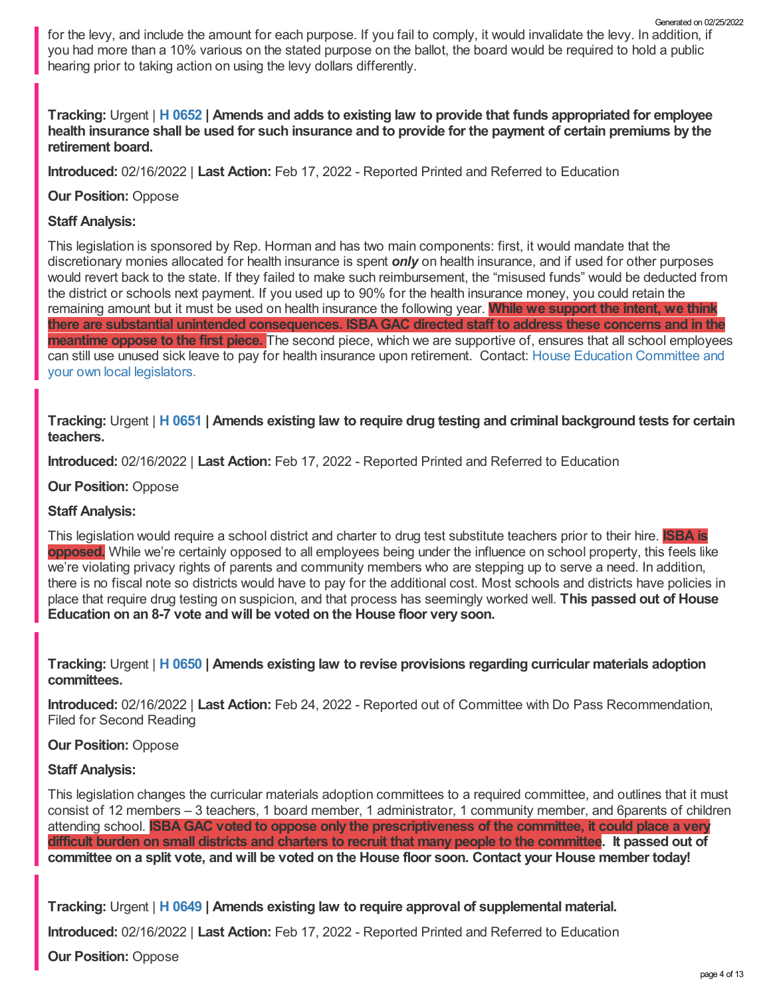for the levy, and include the amount for each purpose. If you fail to comply, it would invalidate the levy. In addition, if you had more than a 10% various on the stated purpose on the ballot, the board would be required to hold a public hearing prior to taking action on using the levy dollars differently.

## Tracking: Urgent | H [0652](https://legislature.idaho.gov/sessioninfo/2022/legislation/H0652/) | Amends and adds to existing law to provide that funds appropriated for employee health insurance shall be used for such insurance and to provide for the payment of certain premiums by the **retirement board.**

**Introduced:** 02/16/2022 | **Last Action:** Feb 17, 2022 - Reported Printed and Referred to Education

## **Our Position:** Oppose

## **Staff Analysis:**

This legislation is sponsored by Rep. Horman and has two main components: first, it would mandate that the discretionary monies allocated for health insurance is spent *only* on health insurance, and if used for other purposes would revert back to the state. If they failed to make such reimbursement, the "misused funds" would be deducted from the district or schools next payment. If you used up to 90% for the health insurance money, you could retain the remaining amount but it must be used on health insurance the following year. **While we support the intent, we think there are substantial unintended consequences. ISBAGAC directed staff to address these concerns and in the meantime oppose to the first piece.** The second piece, which we are supportive of, ensures that all school employees can still use unused sick leave to pay for health insurance upon retirement. Contact: House Education [Committee](https://legislature.idaho.gov/sessioninfo/2022/standingcommittees/HEDU/) and your own local legislators.

Tracking: Urgent | H [0651](https://legislature.idaho.gov/sessioninfo/2022/legislation/H0651/) | Amends existing law to require drug testing and criminal background tests for certain **teachers.**

**Introduced:** 02/16/2022 | **Last Action:** Feb 17, 2022 - Reported Printed and Referred to Education

**Our Position:** Oppose

## **Staff Analysis:**

This legislation would require a school district and charter to drug test substitute teachers prior to their hire. **ISBA is opposed.** While we're certainly opposed to all employees being under the influence on school property, this feels like we're violating privacy rights of parents and community members who are stepping up to serve a need. In addition, there is no fiscal note so districts would have to pay for the additional cost. Most schools and districts have policies in place that require drug testing on suspicion, and that process has seemingly worked well. **This passed out of House Education on an 8-7 vote and will be voted on the House floor very soon.**

**Tracking:** Urgent | **H [0650](https://legislature.idaho.gov/sessioninfo/2022/legislation/H0650/) | Amends existing law to revise provisions regarding curricular materials adoption committees.**

**Introduced:** 02/16/2022 | **Last Action:** Feb 24, 2022 - Reported out of Committee with Do Pass Recommendation, Filed for Second Reading

## **Our Position:** Oppose

## **Staff Analysis:**

This legislation changes the curricular materials adoption committees to a required committee, and outlines that it must consist of 12 members – 3 teachers, 1 board member, 1 administrator, 1 community member, and 6parents of children attending school. **ISBAGAC voted to oppose only the prescriptiveness of the committee, it could place a very** difficult burden on small districts and charters to recruit that many people to the committee. It passed out of committee on a split vote, and will be voted on the House floor soon. Contact your House member today!

**Tracking:** Urgent | **H [0649](https://legislature.idaho.gov/sessioninfo/2022/legislation/H0649/) | Amends existing law to require approval of supplemental material.**

**Introduced:** 02/16/2022 | **Last Action:** Feb 17, 2022 - Reported Printed and Referred to Education

**Our Position:** Oppose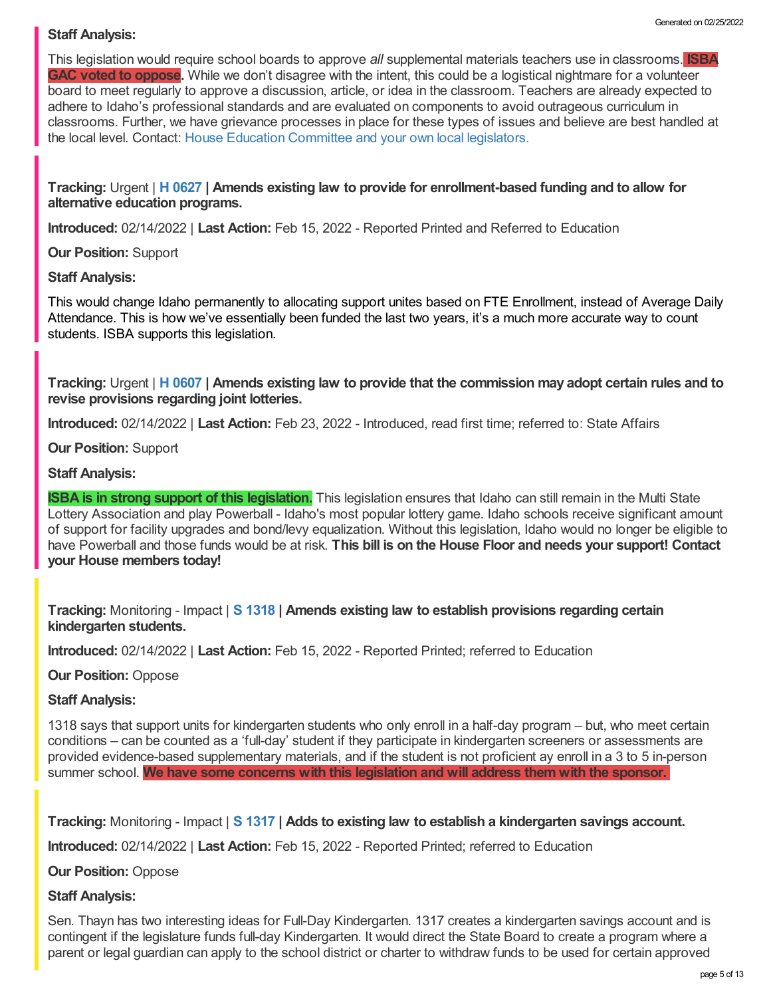## **Staff Analysis:**

This legislation would require school boards to approve *all* supplemental materials teachers use in classrooms. **ISBA GAC voted to oppose.** While we don't disagree with the intent, this could be a logistical nightmare for a volunteer board to meet regularly to approve a discussion, article, or idea in the classroom. Teachers are already expected to adhere to Idaho's professional standards and are evaluated on components to avoid outrageous curriculum in classrooms. Further, we have grievance processes in place for these types of issues and believe are best handled at the local level. Contact: House Education [Committee](https://legislature.idaho.gov/sessioninfo/2022/standingcommittees/HEDU/) and your own local legislators.

**Tracking:** Urgent | **H [0627](https://legislature.idaho.gov/sessioninfo/2022/legislation/H0627/) | Amends existing law to provide for enrollment-based funding and to allow for alternative education programs.**

**Introduced:** 02/14/2022 | **Last Action:** Feb 15, 2022 - Reported Printed and Referred to Education

**Our Position:** Support

#### **Staff Analysis:**

This would change Idaho permanently to allocating support unites based on FTE Enrollment, instead of Average Daily Attendance. This is how we've essentially been funded the last two years, it's a much more accurate way to count students. ISBA supports this legislation.

Tracking: Urgent | H [0607](https://legislature.idaho.gov/sessioninfo/2022/legislation/H0607/) | Amends existing law to provide that the commission may adopt certain rules and to **revise provisions regarding joint lotteries.**

**Introduced:** 02/14/2022 | **Last Action:** Feb 23, 2022 - Introduced, read first time; referred to: State Affairs

**Our Position:** Support

#### **Staff Analysis:**

**ISBA is in strong support of this legislation.** This legislation ensures that Idaho can still remain in the Multi State Lottery Association and play Powerball - Idaho's most popular lottery game. Idaho schools receive significant amount of support for facility upgrades and bond/levy equalization. Without this legislation, Idaho would no longer be eligible to have Powerball and those funds would be at risk. **This bill is on the House Floor and needs your support! Contact your House members today!**

**Tracking:** Monitoring - Impact | **S [1318](https://legislature.idaho.gov/sessioninfo/2022/legislation/S1318/) | Amends existing law to establish provisions regarding certain kindergarten students.**

**Introduced:** 02/14/2022 | **Last Action:** Feb 15, 2022 - Reported Printed; referred to Education

## **Our Position:** Oppose

## **Staff Analysis:**

1318 says that support units for kindergarten students who only enroll in a half-day program – but, who meet certain conditions – can be counted as a 'full-day' student if they participate in kindergarten screeners or assessments are provided evidence-based supplementary materials, and if the student is not proficient ay enroll in a 3 to 5 in-person summer school. **We have some concerns with this legislation and will address them with the sponsor.**

**Tracking:** Monitoring - Impact | **S [1317](https://legislature.idaho.gov/sessioninfo/2022/legislation/S1317/) | Adds to existing law to establish a kindergarten savings account.**

**Introduced:** 02/14/2022 | **Last Action:** Feb 15, 2022 - Reported Printed; referred to Education

**Our Position:** Oppose

## **Staff Analysis:**

Sen. Thayn has two interesting ideas for Full-Day Kindergarten. 1317 creates a kindergarten savings account and is contingent if the legislature funds full-day Kindergarten. It would direct the State Board to create a program where a parent or legal guardian can apply to the school district or charter to withdraw funds to be used for certain approved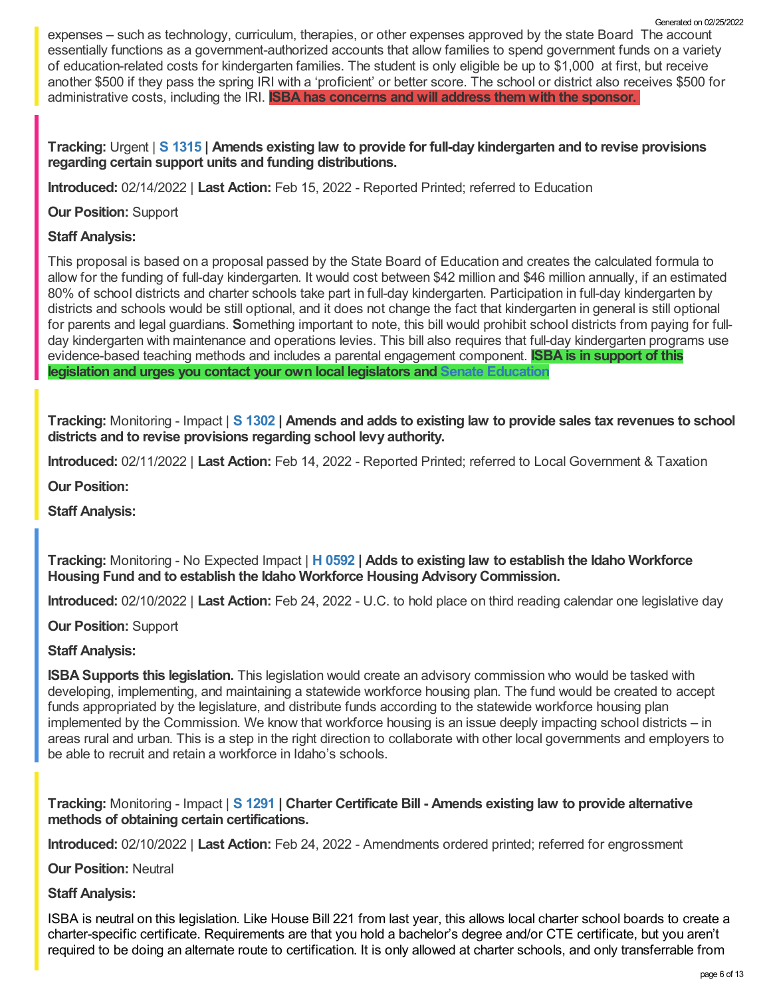expenses – such as technology, curriculum, therapies, or other expenses approved by the state Board The account essentially functions as a government-authorized accounts that allow families to spend government funds on a variety of education-related costs for kindergarten families. The student is only eligible be up to \$1,000 at first, but receive another \$500 if they pass the spring IRI with a 'proficient' or better score. The school or district also receives \$500 for administrative costs, including the IRI. **ISBA has concerns and will address them with the sponsor.**

## **Tracking:** Urgent | **S [1315](https://legislature.idaho.gov/sessioninfo/2022/legislation/S1315/) | Amends existing law to provide for full-day kindergarten and to revise provisions regarding certain support units and funding distributions.**

**Introduced:** 02/14/2022 | **Last Action:** Feb 15, 2022 - Reported Printed; referred to Education

**Our Position:** Support

# **Staff Analysis:**

This proposal is based on a proposal passed by the State Board of Education and creates the calculated formula to allow for the funding of full-day kindergarten. It would cost between \$42 million and \$46 million annually, if an estimated 80% of school districts and charter schools take part in full-day kindergarten. Participation in full-day kindergarten by districts and schools would be still optional, and it does not change the fact that kindergarten in general is still optional for parents and legal guardians. **S**omething important to note, this bill would prohibit school districts from paying for fullday kindergarten with maintenance and operations levies. This bill also requires that full-day kindergarten programs use evidence-based teaching methods and includes a parental engagement component. **ISBA is in support of this legislation and urges you contact your own local legislators and Senate [Education](https://legislature.idaho.gov/sessioninfo/2022/standingcommittees/SEDU/)**

Tracking: Monitoring - Impact | S [1302](https://legislature.idaho.gov/sessioninfo/2022/legislation/S1302/) | Amends and adds to existing law to provide sales tax revenues to school **districts and to revise provisions regarding school levy authority.**

**Introduced:** 02/11/2022 | **Last Action:** Feb 14, 2022 - Reported Printed; referred to Local Government & Taxation

**Our Position:**

**Staff Analysis:**

**Tracking:** Monitoring - No Expected Impact | **H [0592](https://legislature.idaho.gov/sessioninfo/2022/legislation/H0592/) | Adds to existing law to establish the Idaho Workforce Housing Fund and to establish the Idaho Workforce Housing AdvisoryCommission.**

**Introduced:** 02/10/2022 | **Last Action:** Feb 24, 2022 - U.C. to hold place on third reading calendar one legislative day

**Our Position:** Support

## **Staff Analysis:**

**ISBA Supports this legislation.** This legislation would create an advisory commission who would be tasked with developing, implementing, and maintaining a statewide workforce housing plan. The fund would be created to accept funds appropriated by the legislature, and distribute funds according to the statewide workforce housing plan implemented by the Commission. We know that workforce housing is an issue deeply impacting school districts – in areas rural and urban. This is a step in the right direction to collaborate with other local governments and employers to be able to recruit and retain a workforce in Idaho's schools.

**Tracking:** Monitoring - Impact | **S [1291](https://legislature.idaho.gov/sessioninfo/2022/legislation/S1291/) | Charter Certificate Bill - Amends existing law to provide alternative methods of obtaining certain certifications.**

**Introduced:** 02/10/2022 | **Last Action:** Feb 24, 2022 - Amendments ordered printed; referred for engrossment

**Our Position:** Neutral

**Staff Analysis:**

ISBA is neutral on this legislation. Like House Bill 221 from last year, this allows local charter school boards to create a charter-specific certificate. Requirements are that you hold a bachelor's degree and/or CTE certificate, but you aren't required to be doing an alternate route to certification. It is only allowed at charter schools, and only transferrable from

Generated on 02/25/2022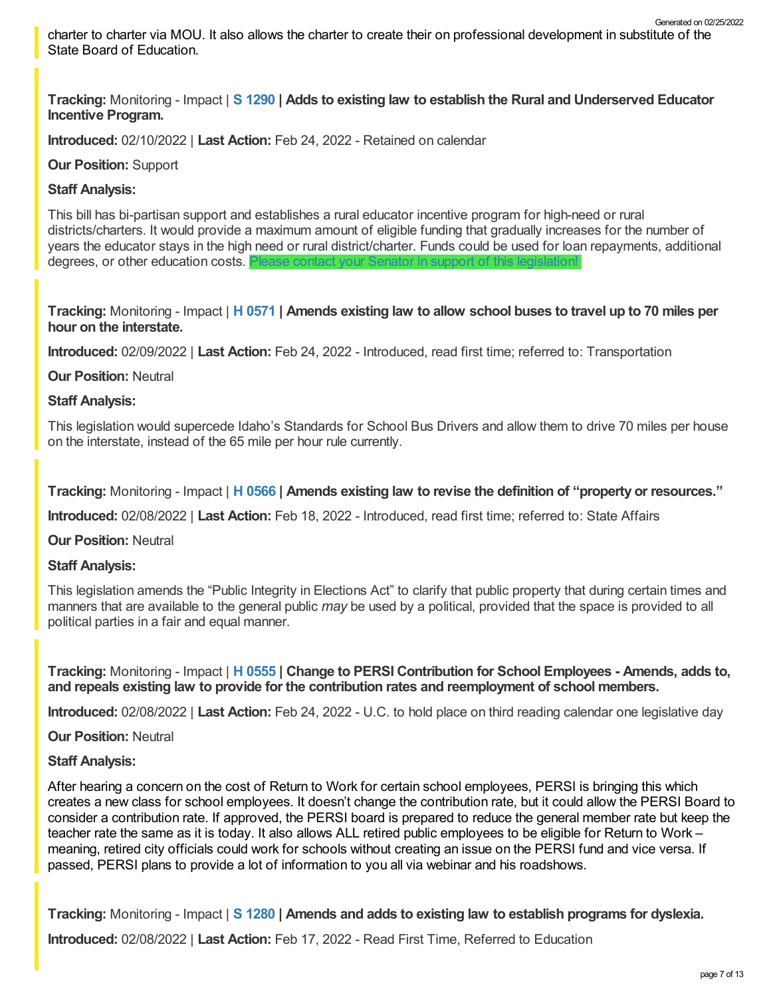charter to charter via MOU. It also allows the charter to create their on professional development in substitute of the State Board of Education. Generated on 02/25/2022

**Tracking:** Monitoring - Impact | **S [1290](https://legislature.idaho.gov/sessioninfo/2022/legislation/S1290/) | Adds to existing law to establish the Rural and Underserved Educator Incentive Program.**

**Introduced:** 02/10/2022 | **Last Action:** Feb 24, 2022 - Retained on calendar

## **Our Position:** Support

## **Staff Analysis:**

This bill has bi-partisan support and establishes a rural educator incentive program for high-need or rural districts/charters. It would provide a maximum amount of eligible funding that gradually increases for the number of years the educator stays in the high need or rural district/charter. Funds could be used for loan repayments, additional degrees, or other education costs. Please contact your Senator in support of this [legislation!](https://legislature.idaho.gov/sessioninfo/2022/standingcommittees/SEDU/)

Tracking: Monitoring - Impact | H [0571](https://legislature.idaho.gov/sessioninfo/2022/legislation/H0571/) | Amends existing law to allow school buses to travel up to 70 miles per **hour on the interstate.**

**Introduced:** 02/09/2022 | **Last Action:** Feb 24, 2022 - Introduced, read first time; referred to: Transportation

**Our Position:** Neutral

## **Staff Analysis:**

This legislation would supercede Idaho's Standards for School Bus Drivers and allow them to drive 70 miles per house on the interstate, instead of the 65 mile per hour rule currently.

**Tracking:** Monitoring - Impact | **H [0566](https://legislature.idaho.gov/sessioninfo/2022/legislation/H0566/) | Amends existing law to revise the definition of "property or resources."**

**Introduced:** 02/08/2022 | **Last Action:** Feb 18, 2022 - Introduced, read first time; referred to: State Affairs

**Our Position:** Neutral

## **Staff Analysis:**

This legislation amends the "Public Integrity in Elections Act" to clarify that public property that during certain times and manners that are available to the general public *may* be used by a political, provided that the space is provided to all political parties in a fair and equal manner.

**Tracking:** Monitoring - Impact | **H [0555](https://legislature.idaho.gov/sessioninfo/2022/legislation/H0555/) | Change to PERSI Contribution for School Employees - Amends, adds to, and repeals existing law to provide for the contribution rates and reemployment of school members.**

**Introduced:** 02/08/2022 | **Last Action:** Feb 24, 2022 - U.C. to hold place on third reading calendar one legislative day

**Our Position:** Neutral

## **Staff Analysis:**

After hearing a concern on the cost of Return to Work for certain school employees, PERSI is bringing this which creates a new class for school employees. It doesn't change the contribution rate, but it could allow the PERSI Board to consider a contribution rate. If approved, the PERSI board is prepared to reduce the general member rate but keep the teacher rate the same as it is today. It also allows ALL retired public employees to be eligible for Return to Work – meaning, retired city officials could work for schools without creating an issue on the PERSI fund and vice versa. If passed, PERSI plans to provide a lot of information to you all via webinar and his roadshows.

**Tracking:** Monitoring - Impact | **S [1280](https://legislature.idaho.gov/sessioninfo/2022/legislation/S1280/) | Amends and adds to existing law to establish programs for dyslexia.**

**Introduced:** 02/08/2022 | **Last Action:** Feb 17, 2022 - Read First Time, Referred to Education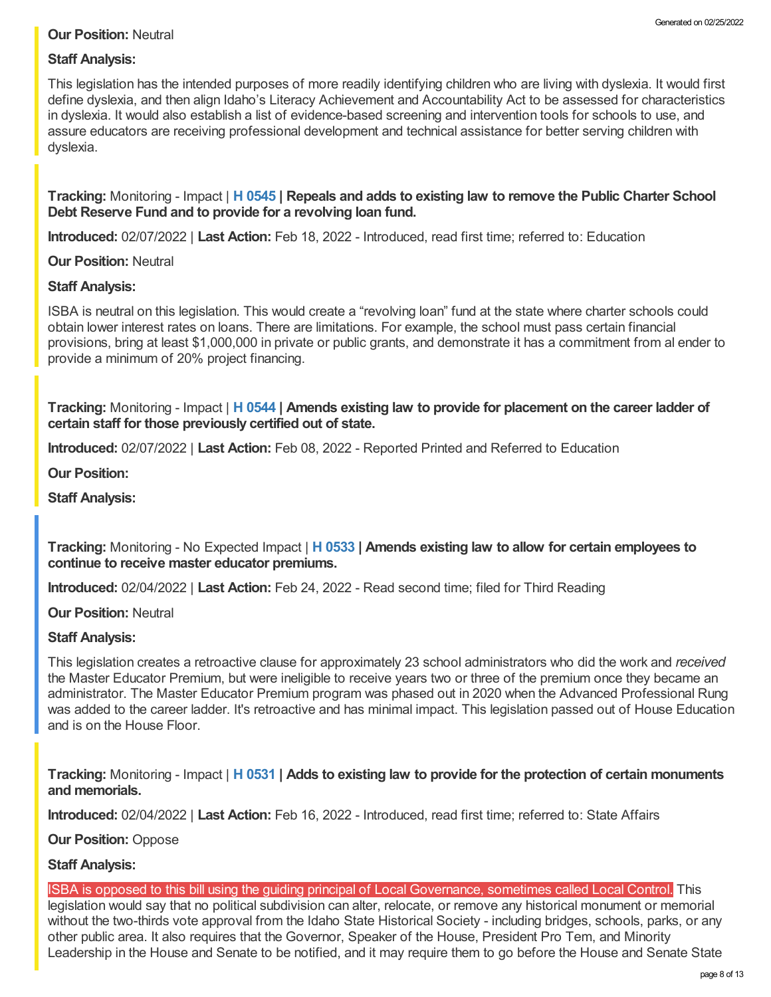## **Our Position:** Neutral

## **Staff Analysis:**

This legislation has the intended purposes of more readily identifying children who are living with dyslexia. It would first define dyslexia, and then align Idaho's Literacy Achievement and Accountability Act to be assessed for characteristics in dyslexia. It would also establish a list of evidence-based screening and intervention tools for schools to use, and assure educators are receiving professional development and technical assistance for better serving children with dyslexia.

**Tracking:** Monitoring - Impact | **H [0545](https://legislature.idaho.gov/sessioninfo/2022/legislation/H0545/) | Repeals and adds to existing law to remove the Public Charter School Debt Reserve Fund and to provide for a revolving loan fund.**

**Introduced:** 02/07/2022 | **Last Action:** Feb 18, 2022 - Introduced, read first time; referred to: Education

**Our Position:** Neutral

## **Staff Analysis:**

ISBA is neutral on this legislation. This would create a "revolving loan" fund at the state where charter schools could obtain lower interest rates on loans. There are limitations. For example, the school must pass certain financial provisions, bring at least \$1,000,000 in private or public grants, and demonstrate it has a commitment from al ender to provide a minimum of 20% project financing.

**Tracking:** Monitoring - Impact | **H [0544](https://legislature.idaho.gov/sessioninfo/2022/legislation/H0544/) | Amends existing law to provide for placement on the career ladder of certain staff for those previously certified out of state.**

**Introduced:** 02/07/2022 | **Last Action:** Feb 08, 2022 - Reported Printed and Referred to Education

**Our Position:**

**Staff Analysis:**

**Tracking:** Monitoring - No Expected Impact | **H [0533](https://legislature.idaho.gov/sessioninfo/2022/legislation/H0533/) | Amends existing law to allow for certain employees to continue to receive master educator premiums.**

**Introduced:** 02/04/2022 | **Last Action:** Feb 24, 2022 - Read second time; filed for Third Reading

**Our Position:** Neutral

## **Staff Analysis:**

This legislation creates a retroactive clause for approximately 23 school administrators who did the work and *received* the Master Educator Premium, but were ineligible to receive years two or three of the premium once they became an administrator. The Master Educator Premium program was phased out in 2020 when the Advanced Professional Rung was added to the career ladder. It's retroactive and has minimal impact. This legislation passed out of House Education and is on the House Floor.

**Tracking:** Monitoring - Impact | **H [0531](https://legislature.idaho.gov/sessioninfo/2022/legislation/H0531/) | Adds to existing law to provide for the protection of certain monuments and memorials.**

**Introduced:** 02/04/2022 | **Last Action:** Feb 16, 2022 - Introduced, read first time; referred to: State Affairs

**Our Position:** Oppose

## **Staff Analysis:**

ISBA is opposed to this bill using the guiding principal of Local Governance, sometimes called Local Control. This legislation would say that no political subdivision can alter, relocate, or remove any historical monument or memorial without the two-thirds vote approval from the Idaho State Historical Society - including bridges, schools, parks, or any other public area. It also requires that the Governor, Speaker of the House, President Pro Tem, and Minority Leadership in the House and Senate to be notified, and it may require them to go before the House and Senate State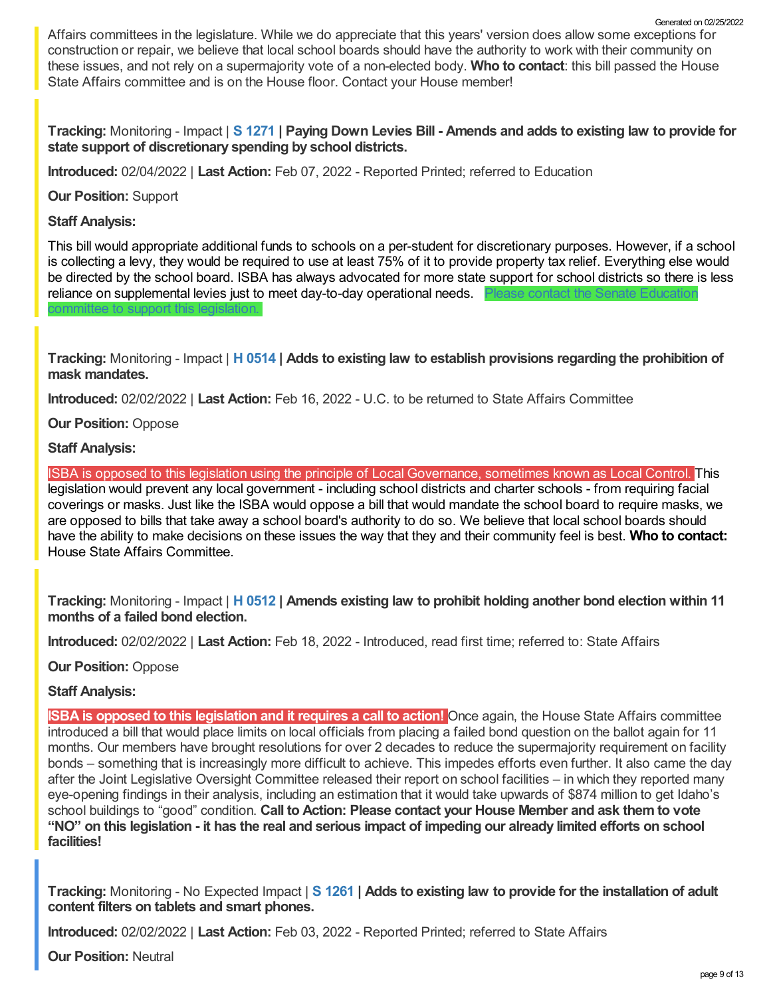Affairs committees in the legislature. While we do appreciate that this years' version does allow some exceptions for construction or repair, we believe that local school boards should have the authority to work with their community on these issues, and not rely on a supermajority vote of a non-elected body. **Who to contact**: this bill passed the House State Affairs committee and is on the House floor. Contact your House member!

Tracking: Monitoring - Impact | S [1271](https://legislature.idaho.gov/sessioninfo/2022/legislation/S1271/) | Paying Down Levies Bill - Amends and adds to existing law to provide for **state support of discretionary spending by school districts.**

**Introduced:** 02/04/2022 | **Last Action:** Feb 07, 2022 - Reported Printed; referred to Education

**Our Position:** Support

**Staff Analysis:**

This bill would appropriate additional funds to schools on a per-student for discretionary purposes. However, if a school is collecting a levy, they would be required to use at least 75% of it to provide property tax relief. Everything else would be directed by the school board. ISBA has always advocated for more state support for school districts so there is less reliance on [supplemental](https://legislature.idaho.gov/sessioninfo/2022/standingcommittees/SEDU/) levies just to meet day-to-day operational needs. Please contact the Senate Education committee to support this legislation.

**Tracking:** Monitoring - Impact | **H [0514](https://legislature.idaho.gov/sessioninfo/2022/legislation/H0514/) | Adds to existing law to establish provisions regarding the prohibition of mask mandates.**

**Introduced:** 02/02/2022 | **Last Action:** Feb 16, 2022 - U.C. to be returned to State Affairs Committee

**Our Position:** Oppose

**Staff Analysis:**

ISBA is opposed to this legislation using the principle of Local Governance, sometimes known as Local Control. This legislation would prevent any local government - including school districts and charter schools - from requiring facial coverings or masks. Just like the ISBA would oppose a bill that would mandate the school board to require masks, we are opposed to bills that take away a school board's authority to do so. We believe that local school boards should have the ability to make decisions on these issues the way that they and their community feel is best. **Who to contact:** House State Affairs [Committee.](https://legislature.idaho.gov/sessioninfo/2022/standingcommittees/HSTA/)

**Tracking:** Monitoring - Impact | **H [0512](https://legislature.idaho.gov/sessioninfo/2022/legislation/H0512/) | Amends existing law to prohibit holding another bond election within 11 months of a failed bond election.**

**Introduced:** 02/02/2022 | **Last Action:** Feb 18, 2022 - Introduced, read first time; referred to: State Affairs

**Our Position:** Oppose

## **Staff Analysis:**

**ISBA is opposed to this legislation and it requires a call to action!** Once again, the House State Affairs committee introduced a bill that would place limits on local officials from placing a failed bond question on the ballot again for 11 months. Our members have brought resolutions for over 2 decades to reduce the supermajority requirement on facility bonds – something that is increasingly more difficult to achieve. This impedes efforts even further. It also came the day after the Joint Legislative Oversight Committee released their report on school facilities – in which they reported many eye-opening findings in their analysis, including an estimation that it would take upwards of \$874 million to get Idaho's school buildings to "good" condition. **Call to Action: Please contact your House Member and ask them to vote** "NO" on this legislation - it has the real and serious impact of impeding our already limited efforts on school **facilities!**

**Tracking:** Monitoring - No Expected Impact | **S [1261](https://legislature.idaho.gov/sessioninfo/2022/legislation/S1261/) | Adds to existing law to provide for the installation of adult content filters on tablets and smart phones.**

**Introduced:** 02/02/2022 | **Last Action:** Feb 03, 2022 - Reported Printed; referred to State Affairs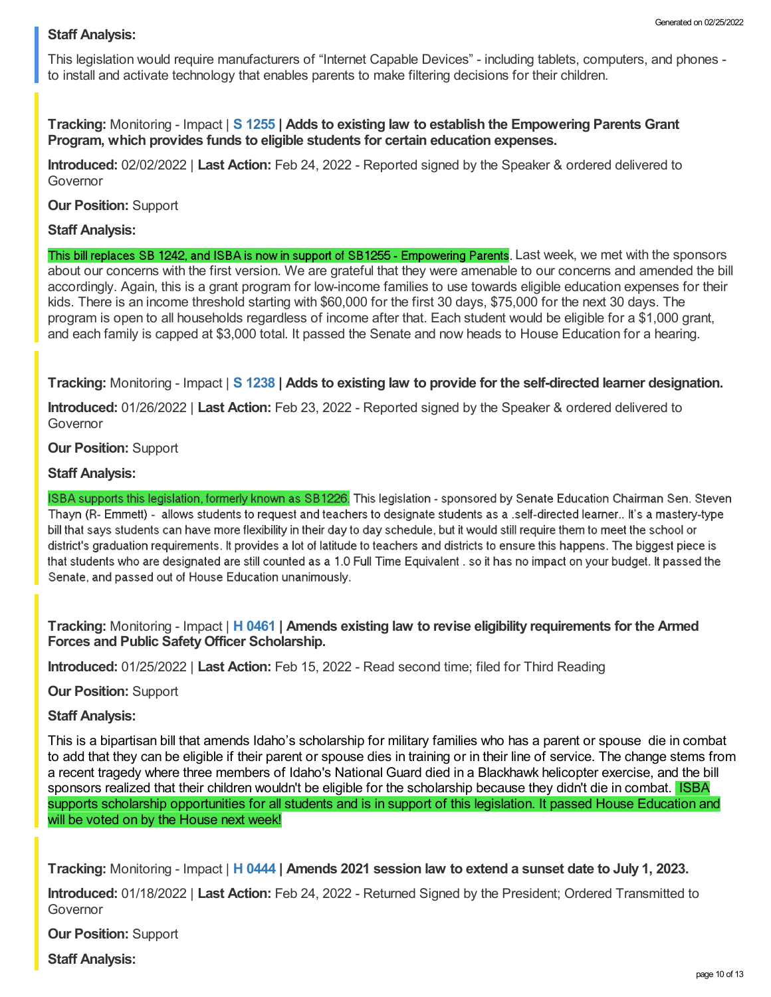#### **Staff Analysis:**

This legislation would require manufacturers of "Internet Capable Devices" - including tablets, computers, and phones to install and activate technology that enables parents to make filtering decisions for their children.

**Tracking:** Monitoring - Impact | **S [1255](https://legislature.idaho.gov/sessioninfo/2022/legislation/S1255/) | Adds to existing law to establish the Empowering Parents Grant Program, which provides funds to eligible students for certain education expenses.**

**Introduced:** 02/02/2022 | **Last Action:** Feb 24, 2022 - Reported signed by the Speaker & ordered delivered to Governor

**Our Position:** Support

#### **Staff Analysis:**

This bill replaces SB 1242, and ISBA is now in support of SB1255 - Empowering Parents. Last week, we met with the sponsors about our concerns with the first version. We are grateful that they were amenable to our concerns and amended the bill accordingly. Again, this is a grant program for low-income families to use towards eligible education expenses for their kids. There is an income threshold starting with \$60,000 for the first 30 days, \$75,000 for the next 30 days. The program is open to all households regardless of income after that. Each student would be eligible for a \$1,000 grant, and each family is capped at \$3,000 total. It passed the Senate and now heads to House Education for a hearing.

**Tracking:** Monitoring - Impact | **S [1238](https://legislature.idaho.gov/sessioninfo/2022/legislation/S1238/) | Adds to existing law to provide for the self-directed learner designation.**

**Introduced:** 01/26/2022 | **Last Action:** Feb 23, 2022 - Reported signed by the Speaker & ordered delivered to Governor

#### **Our Position:** Support

## **Staff Analysis:**

ISBA supports this legislation, formerly known as SB1226. This legislation - sponsored by Senate Education Chairman Sen. Steven Thayn (R- Emmett) - allows students to request and teachers to designate students as a self-directed learner.. It's a mastery-type bill that says students can have more flexibility in their day to day schedule, but it would still require them to meet the school or district's graduation requirements. It provides a lot of latitude to teachers and districts to ensure this happens. The biggest piece is that students who are designated are still counted as a 1.0 Full Time Equivalent , so it has no impact on your budget. It passed the Senate, and passed out of House Education unanimously.

**Tracking:** Monitoring - Impact | **H [0461](https://legislature.idaho.gov/sessioninfo/2022/legislation/H0461/) | Amends existing law to revise eligibility requirements for the Armed Forces and Public SafetyOfficer Scholarship.**

**Introduced:** 01/25/2022 | **Last Action:** Feb 15, 2022 - Read second time; filed for Third Reading

**Our Position:** Support

#### **Staff Analysis:**

This is a bipartisan bill that amends Idaho's scholarship for military families who has a parent or spouse die in combat to add that they can be eligible if their parent or spouse dies in training or in their line of service. The change stems from a recent tragedy where three members of Idaho's National Guard died in a Blackhawk helicopter exercise, and the bill sponsors realized that their children wouldn't be eligible for the scholarship because they didn't die in combat. ISBA supports scholarship opportunities for all students and is in support of this legislation. It passed House Education and will be voted on by the House next week!

**Tracking:** Monitoring - Impact | **H [0444](https://legislature.idaho.gov/sessioninfo/2022/legislation/H0444/) | Amends 2021 session law to extend a sunset date to July 1, 2023.**

**Introduced:** 01/18/2022 | **Last Action:** Feb 24, 2022 - Returned Signed by the President; Ordered Transmitted to Governor

**Our Position:** Support

**Staff Analysis:**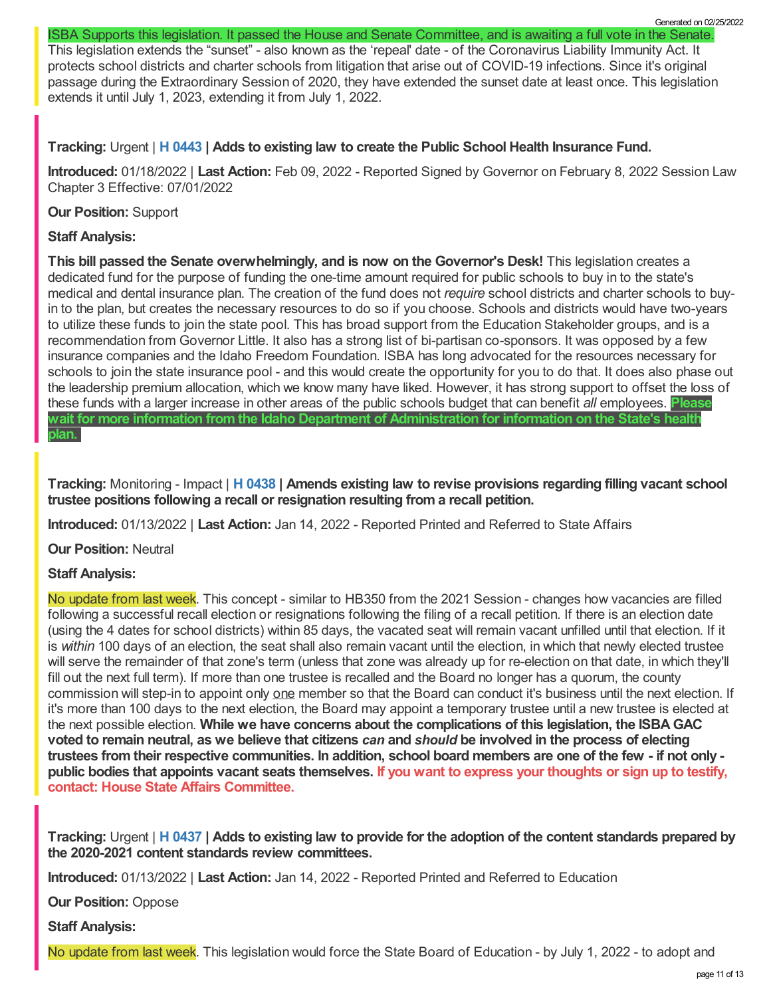ISBA Supports this legislation. It passed the House and Senate Committee, and is awaiting a full vote in the Senate.

This legislation extends the "sunset" - also known as the 'repeal' date - of the Coronavirus Liability Immunity Act. It protects school districts and charter schools from litigation that arise out of COVID-19 infections. Since it's original passage during the Extraordinary Session of 2020, they have extended the sunset date at least once. This legislation extends it until July 1, 2023, extending it from July 1, 2022.

## **Tracking:** Urgent | **H [0443](https://legislature.idaho.gov/sessioninfo/2022/legislation/H0443/) | Adds to existing law to create the Public School Health Insurance Fund.**

**Introduced:** 01/18/2022 | **Last Action:** Feb 09, 2022 - Reported Signed by Governor on February 8, 2022 Session Law Chapter 3 Effective: 07/01/2022

## **Our Position:** Support

## **Staff Analysis:**

**This bill passed the Senate overwhelmingly, and is now on the Governor's Desk!** This legislation creates a dedicated fund for the purpose of funding the one-time amount required for public schools to buy in to the state's medical and dental insurance plan. The creation of the fund does not *require* school districts and charter schools to buyin to the plan, but creates the necessary resources to do so if you choose. Schools and districts would have two-years to utilize these funds to join the state pool. This has broad support from the Education Stakeholder groups, and is a recommendation from Governor Little. It also has a strong list of bi-partisan co-sponsors. It was opposed by a few insurance companies and the Idaho Freedom Foundation. ISBA has long advocated for the resources necessary for schools to join the state insurance pool - and this would create the opportunity for you to do that. It does also phase out the leadership premium allocation, which we know many have liked. However, it has strong support to offset the loss of these funds with a larger increase in other areas of the public schools budget that can benefit *all* employees. **Please wait for more information from the Idaho Department of Administration for information on the State's health plan.**

**Tracking:** Monitoring - Impact | **H [0438](https://legislature.idaho.gov/sessioninfo/2022/legislation/H0438/) | Amends existing law to revise provisions regarding filling vacant school trustee positions following a recall or resignation resulting from a recall petition.**

**Introduced:** 01/13/2022 | **Last Action:** Jan 14, 2022 - Reported Printed and Referred to State Affairs

**Our Position:** Neutral

## **Staff Analysis:**

No update from last week. This concept - similar to HB350 from the 2021 Session - changes how vacancies are filled following a successful recall election or resignations following the filing of a recall petition. If there is an election date (using the 4 dates for school districts) within 85 days, the vacated seat will remain vacant unfilled until that election. If it is *within* 100 days of an election, the seat shall also remain vacant until the election, in which that newly elected trustee will serve the remainder of that zone's term (unless that zone was already up for re-election on that date, in which they'll fill out the next full term). If more than one trustee is recalled and the Board no longer has a quorum, the county commission will step-in to appoint only one member so that the Board can conduct it's business until the next election. If it's more than 100 days to the next election, the Board may appoint a temporary trustee until a new trustee is elected at the next possible election. **While we have concerns about the complications of this legislation, the ISBAGAC** voted to remain neutral, as we believe that citizens can and should be involved in the process of electing trustees from their respective communities. In addition, school board members are one of the few - if not only public bodies that appoints vacant seats themselves. If you want to express your thoughts or sign up to testify, **contact: House State Affairs [Committee.](https://legislature.idaho.gov/sessioninfo/2022/standingcommittees/HSTA/)**

Tracking: Urgent | H [0437](https://legislature.idaho.gov/sessioninfo/2022/legislation/H0437/) | Adds to existing law to provide for the adoption of the content standards prepared by **the 2020-2021 content standards review committees.**

**Introduced:** 01/13/2022 | **Last Action:** Jan 14, 2022 - Reported Printed and Referred to Education

**Our Position:** Oppose

**Staff Analysis:**

No update from last week. This legislation would force the State Board of Education - by July 1, 2022 - to adopt and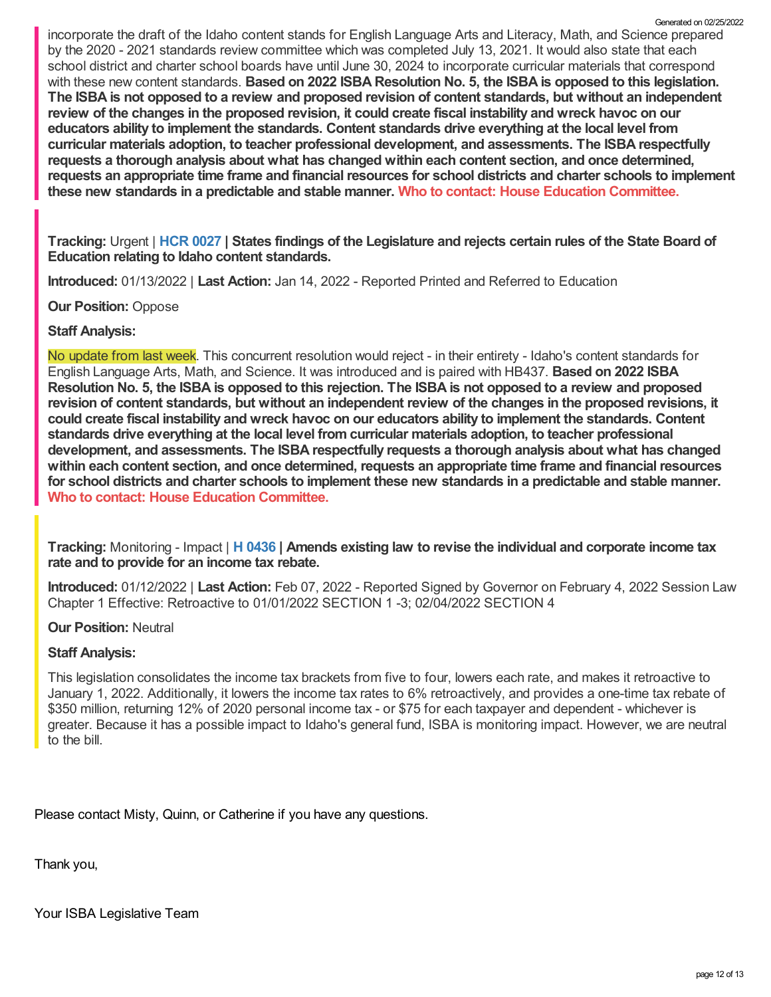incorporate the draft of the Idaho content stands for English Language Arts and Literacy, Math, and Science prepared by the 2020 - 2021 standards review committee which was completed July 13, 2021. It would also state that each school district and charter school boards have until June 30, 2024 to incorporate curricular materials that correspond with these new content standards. **Based on 2022 ISBA Resolution No. 5, the ISBA is opposed to this legislation.** The ISBA is not opposed to a review and proposed revision of content standards, but without an independent review of the changes in the proposed revision, it could create fiscal instability and wreck havoc on our **educators ability to implement the standards. Content standards drive everything at the local level from curricular materials adoption, to teacher professional development, and assessments. The ISBA respectfully requests a thorough analysis about what has changed within each content section, and once determined, requests an appropriate time frame and financial resources for school districts and charter schools to implement these new standards in a predictable and stable manner. Who to contact: House Education [Committee.](https://legislature.idaho.gov/sessioninfo/2022/standingcommittees/HEDU/)** Generated on 02/25/2022

Tracking: Urgent | HCR [0027](https://legislature.idaho.gov/sessioninfo/2022/legislation/HCR027/) | States findings of the Legislature and rejects certain rules of the State Board of **Education relating to Idaho content standards.**

**Introduced:** 01/13/2022 | **Last Action:** Jan 14, 2022 - Reported Printed and Referred to Education

**Our Position:** Oppose

## **Staff Analysis:**

No update from last week. This concurrent resolution would reject - in their entirety - Idaho's content standards for English Language Arts, Math, and Science. It was introduced and is paired with HB437. **Based on 2022 ISBA** Resolution No. 5, the ISBA is opposed to this rejection. The ISBA is not opposed to a review and proposed revision of content standards, but without an independent review of the changes in the proposed revisions, it **could create fiscal instability and wreck havoc on our educators ability to implement the standards. Content standards drive everything at the local level from curricular materials adoption, to teacher professional development, and assessments. The ISBA respectfully requests a thorough analysis about what has changed within each content section, and once determined, requests an appropriate time frame and financial resources** for school districts and charter schools to implement these new standards in a predictable and stable manner.<br>Who to contact: House Education [Committee](https://legislature.idaho.gov/sessioninfo/2022/standingcommittees/HEDU/).

**Tracking:** Monitoring - Impact | **H [0436](https://legislature.idaho.gov/sessioninfo/2022/legislation/H0436/) | Amends existing law to revise the individual and corporate income tax rate and to provide for an income tax rebate.**

**Introduced:** 01/12/2022 | **Last Action:** Feb 07, 2022 - Reported Signed by Governor on February 4, 2022 Session Law Chapter 1 Effective: Retroactive to 01/01/2022 SECTION 1 -3; 02/04/2022 SECTION 4

#### **Our Position:** Neutral

## **Staff Analysis:**

This legislation consolidates the income tax brackets from five to four, lowers each rate, and makes it retroactive to January 1, 2022. Additionally, it lowers the income tax rates to 6% retroactively, and provides a one-time tax rebate of \$350 million, returning 12% of 2020 personal income tax - or \$75 for each taxpayer and dependent - whichever is greater. Because it has a possible impact to Idaho's general fund, ISBA is monitoring impact. However, we are neutral to the bill.

Please contact Misty, Quinn, or Catherine if you have any questions.

Thank you,

Your ISBA Legislative Team